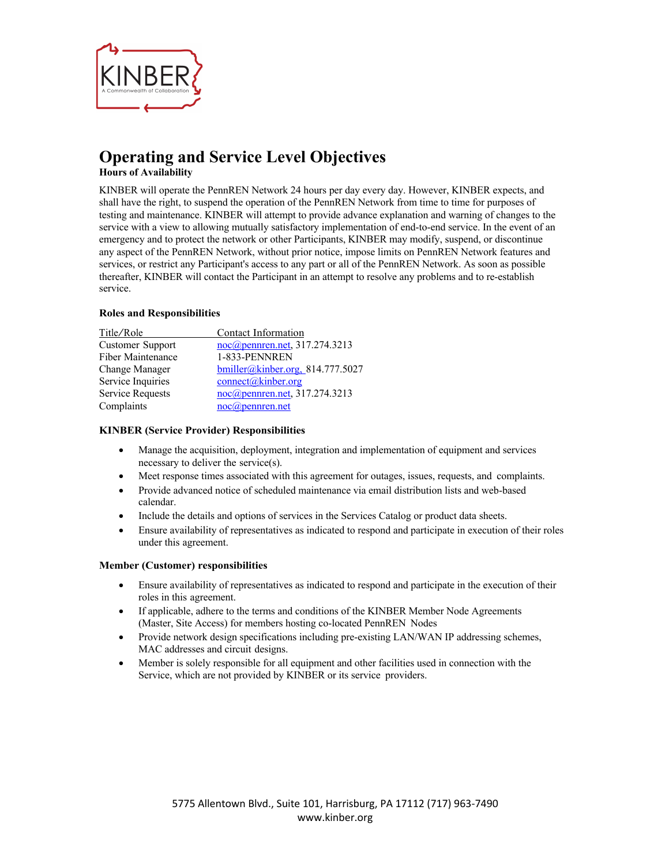

# **Operating and Service Level Objectives**

**Hours of Availability**

KINBER will operate the PennREN Network 24 hours per day every day. However, KINBER expects, and shall have the right, to suspend the operation of the PennREN Network from time to time for purposes of testing and maintenance. KINBER will attempt to provide advance explanation and warning of changes to the service with a view to allowing mutually satisfactory implementation of end-to-end service. In the event of an emergency and to protect the network or other Participants, KINBER may modify, suspend, or discontinue any aspect of the PennREN Network, without prior notice, impose limits on PennREN Network features and services, or restrict any Participant's access to any part or all of the PennREN Network. As soon as possible thereafter, KINBER will contact the Participant in an attempt to resolve any problems and to re-establish service.

# **Roles and Responsibilities**

| Title/Role        | Contact Information                 |
|-------------------|-------------------------------------|
| Customer Support  | noc@pennren.net, 317.274.3213       |
| Fiber Maintenance | 1-833-PENNREN                       |
| Change Manager    | $b$ miller@kinber.org, 814.777.5027 |
| Service Inquiries | $connect(\hat{\omega}$ kinber.org   |
| Service Requests  | noc@pennren.net, 317.274.3213       |
| Complaints        | $noc(\theta)$ pennren.net           |
|                   |                                     |

# **KINBER (Service Provider) Responsibilities**

- Manage the acquisition, deployment, integration and implementation of equipment and services necessary to deliver the service(s).
- Meet response times associated with this agreement for outages, issues, requests, and complaints.
- Provide advanced notice of scheduled maintenance via email distribution lists and web-based calendar.
- Include the details and options of services in the Services Catalog or product data sheets.
- Ensure availability of representatives as indicated to respond and participate in execution of their roles under this agreement.

## **Member (Customer) responsibilities**

- Ensure availability of representatives as indicated to respond and participate in the execution of their roles in this agreement.
- If applicable, adhere to the terms and conditions of the KINBER Member Node Agreements (Master, Site Access) for members hosting co-located PennREN Nodes
- Provide network design specifications including pre-existing LAN/WAN IP addressing schemes, MAC addresses and circuit designs.
- Member is solely responsible for all equipment and other facilities used in connection with the Service, which are not provided by KINBER or its service providers.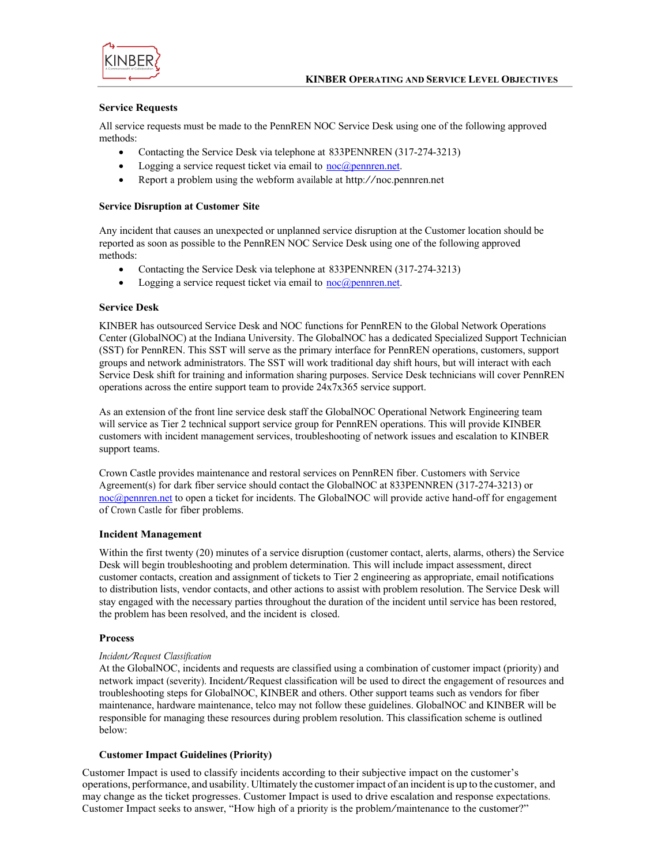



#### **Service Requests**

All service requests must be made to the PennREN NOC Service Desk using one of the following approved methods:

- Contacting the Service Desk via telephone at 833PENNREN (317-274-3213)
- Logging a service request ticket via email to  $\frac{n}{\text{oc}(\alpha)}$  pennren.net.
- Report <sup>a</sup> problem using the webform available at http://noc.pennren.net

#### **Service Disruption at Customer Site**

Any incident that causes an unexpected or unplanned service disruption at the Customer location should be reported as soon as possible to the PennREN NOC Service Desk using one of the following approved methods:

- Contacting the Service Desk via telephone at 833PENNREN (317-274-3213)
- Logging a service request ticket via email to  $\operatorname{noc}(\widehat{a})$  pennren.net.

## **Service Desk**

KINBER has outsourced Service Desk and NOC functions for PennREN to the Global Network Operations Center (GlobalNOC) at the Indiana University. The GlobalNOC has a dedicated Specialized Support Technician (SST) for PennREN. This SST will serve as the primary interface for PennREN operations, customers, support groups and network administrators. The SST will work traditional day shift hours, but will interact with each Service Desk shift for training and information sharing purposes. Service Desk technicians will cover PennREN operations across the entire support team to provide 24x7x365 service support.

As an extension of the front line service desk staff the GlobalNOC Operational Network Engineering team will service as Tier 2 technical support service group for PennREN operations. This will provide KINBER customers with incident management services, troubleshooting of network issues and escalation to KINBER support teams.

Crown Castle provides maintenance and restoral services on PennREN fiber. Customers with Service Agreement(s) for dark fiber service should contact the GlobalNOC at 833PENNREN (317-274-3213) or noc@pennren.net to open a ticket for incidents. The GlobalNOC will provide active hand-off for engagement of Crown Castle for fiber problems.

#### **Incident Management**

Within the first twenty (20) minutes of a service disruption (customer contact, alerts, alarms, others) the Service Desk will begin troubleshooting and problem determination. This will include impact assessment, direct customer contacts, creation and assignment of tickets to Tier 2 engineering as appropriate, email notifications to distribution lists, vendor contacts, and other actions to assist with problem resolution. The Service Desk will stay engaged with the necessary parties throughout the duration of the incident until service has been restored, the problem has been resolved, and the incident is closed.

#### **Process**

#### *Incident/Request Classification*

At the GlobalNOC, incidents and requests are classified using a combination of customer impact (priority) and network impact (severity). Incident/Request classification will be used to direct the engagement of resources and troubleshooting steps for GlobalNOC, KINBER and others. Other support teams such as vendors for fiber maintenance, hardware maintenance, telco may not follow these guidelines. GlobalNOC and KINBER will be responsible for managing these resources during problem resolution. This classification scheme is outlined below:

#### **Customer Impact Guidelines (Priority)**

Customer Impact is used to classify incidents according to their subjective impact on the customer's operations, performance, and usability. Ultimately the customerimpact of an incident is up to the customer, and may change as the ticket progresses. Customer Impact is used to drive escalation and response expectations. Customer Impact seeks to answer, "How high of <sup>a</sup> priority is the problem/maintenance to the customer?"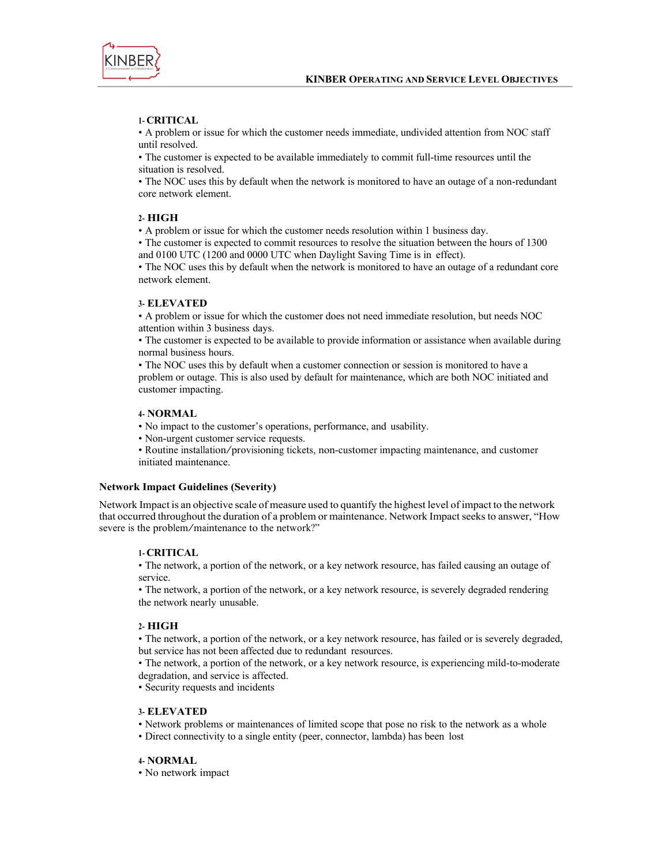

## **1- CRITICAL**

• A problem or issue for which the customer needs immediate, undivided attention from NOC staff until resolved.

• The customer is expected to be available immediately to commit full-time resources until the situation is resolved.

• The NOC uses this by default when the network is monitored to have an outage of a non-redundant core network element.

## **2- HIGH**

• A problem or issue for which the customer needs resolution within 1 business day.

• The customer is expected to commit resources to resolve the situation between the hours of 1300 and 0100 UTC (1200 and 0000 UTC when Daylight Saving Time is in effect).

• The NOC uses this by default when the network is monitored to have an outage of a redundant core network element.

#### **3- ELEVATED**

• A problem or issue for which the customer does not need immediate resolution, but needs NOC attention within 3 business days.

• The customer is expected to be available to provide information or assistance when available during normal business hours.

• The NOC uses this by default when a customer connection or session is monitored to have a problem or outage. This is also used by default for maintenance, which are both NOC initiated and customer impacting.

#### **4- NORMAL**

• No impact to the customer's operations, performance, and usability.

• Non-urgent customer service requests.

• Routine installation/provisioning tickets, non-customer impacting maintenance, and customer initiated maintenance.

#### **Network Impact Guidelines (Severity)**

Network Impact is an objective scale of measure used to quantify the highest level of impact to the network that occurred throughout the duration of a problem or maintenance. Network Impact seeks to answer, "How severe is the problem/maintenance to the network?"

#### **1- CRITICAL**

• The network, a portion of the network, or a key network resource, has failed causing an outage of service.

• The network, a portion of the network, or a key network resource, is severely degraded rendering the network nearly unusable.

#### **2- HIGH**

• The network, a portion of the network, or a key network resource, has failed or is severely degraded, but service has not been affected due to redundant resources.

• The network, a portion of the network, or a key network resource, is experiencing mild-to-moderate degradation, and service is affected.

• Security requests and incidents

#### **3- ELEVATED**

• Network problems or maintenances of limited scope that pose no risk to the network as a whole

• Direct connectivity to a single entity (peer, connector, lambda) has been lost

#### **4- NORMAL**

• No network impact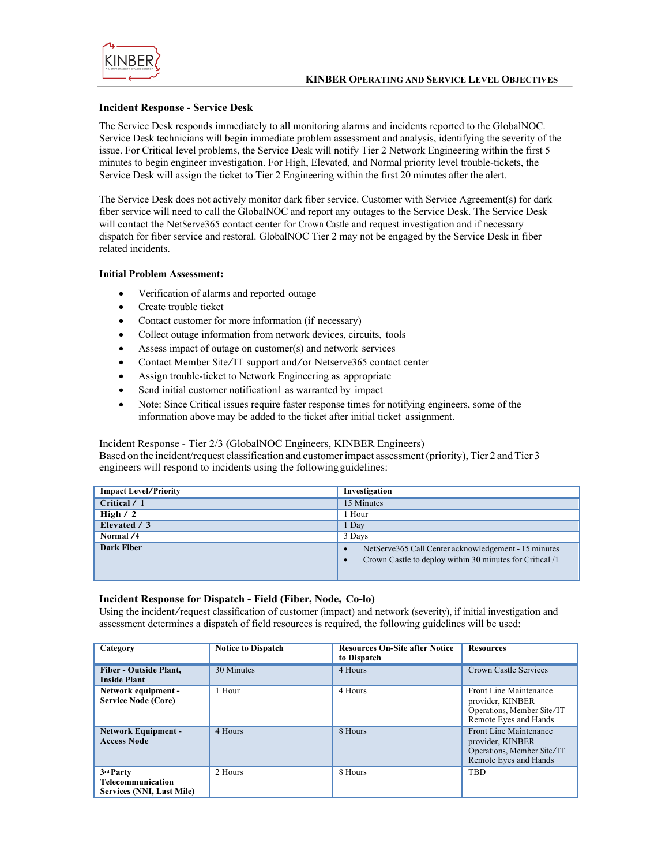

#### **Incident Response - Service Desk**

The Service Desk responds immediately to all monitoring alarms and incidents reported to the GlobalNOC. Service Desk technicians will begin immediate problem assessment and analysis, identifying the severity of the issue. For Critical level problems, the Service Desk will notify Tier 2 Network Engineering within the first 5 minutes to begin engineer investigation. For High, Elevated, and Normal priority level trouble-tickets, the Service Desk will assign the ticket to Tier 2 Engineering within the first 20 minutes after the alert.

The Service Desk does not actively monitor dark fiber service. Customer with Service Agreement(s) for dark fiber service will need to call the GlobalNOC and report any outages to the Service Desk. The Service Desk will contact the NetServe365 contact center for Crown Castle and request investigation and if necessary dispatch for fiber service and restoral. GlobalNOC Tier 2 may not be engaged by the Service Desk in fiber related incidents.

#### **Initial Problem Assessment:**

- Verification of alarms and reported outage
- Create trouble ticket
- Contact customer for more information (if necessary)
- Collect outage information from network devices, circuits, tools
- Assess impact of outage on customer(s) and network services
- Contact Member Site/IT support and/or Netserve365 contact center
- Assign trouble-ticket to Network Engineering as appropriate
- Send initial customer notification1 as warranted by impact
- Note: Since Critical issues require faster response times for notifying engineers, some of the information above may be added to the ticket after initial ticket assignment.

Incident Response - Tier 2/3 (GlobalNOC Engineers, KINBER Engineers)

Based on the incident/request classification and customer impact assessment (priority), Tier 2 and Tier 3 engineers will respond to incidents using the followingguidelines:

| <b>Impact Level/Priority</b> | Investigation                                                                                                    |
|------------------------------|------------------------------------------------------------------------------------------------------------------|
| Critical / 1                 | 15 Minutes                                                                                                       |
| High $/2$                    | 1 Hour                                                                                                           |
| Elevated / 3                 | 1 Day                                                                                                            |
| Normal /4                    | 3 Days                                                                                                           |
| Dark Fiber                   | NetServe365 Call Center acknowledgement - 15 minutes<br>Crown Castle to deploy within 30 minutes for Critical /1 |

#### **Incident Response for Dispatch - Field (Fiber, Node, Co-lo)**

Using the incident/request classification of customer (impact) and network (severity), if initial investigation and assessment determines a dispatch of field resources is required, the following guidelines will be used:

| Category                                                           | <b>Notice to Dispatch</b> | <b>Resources On-Site after Notice</b><br>to Dispatch | <b>Resources</b>                                                                                  |
|--------------------------------------------------------------------|---------------------------|------------------------------------------------------|---------------------------------------------------------------------------------------------------|
| <b>Fiber - Outside Plant,</b><br><b>Inside Plant</b>               | 30 Minutes                | 4 Hours                                              | Crown Castle Services                                                                             |
| Network equipment -<br><b>Service Node (Core)</b>                  | 1 Hour                    | 4 Hours                                              | Front Line Maintenance<br>provider, KINBER<br>Operations, Member Site/IT<br>Remote Eyes and Hands |
| <b>Network Equipment -</b><br><b>Access Node</b>                   | 4 Hours                   | 8 Hours                                              | Front Line Maintenance<br>provider, KINBER<br>Operations, Member Site/IT<br>Remote Eyes and Hands |
| 3rd Party<br><b>Telecommunication</b><br>Services (NNI, Last Mile) | 2. Hours                  | 8 Hours                                              | <b>TBD</b>                                                                                        |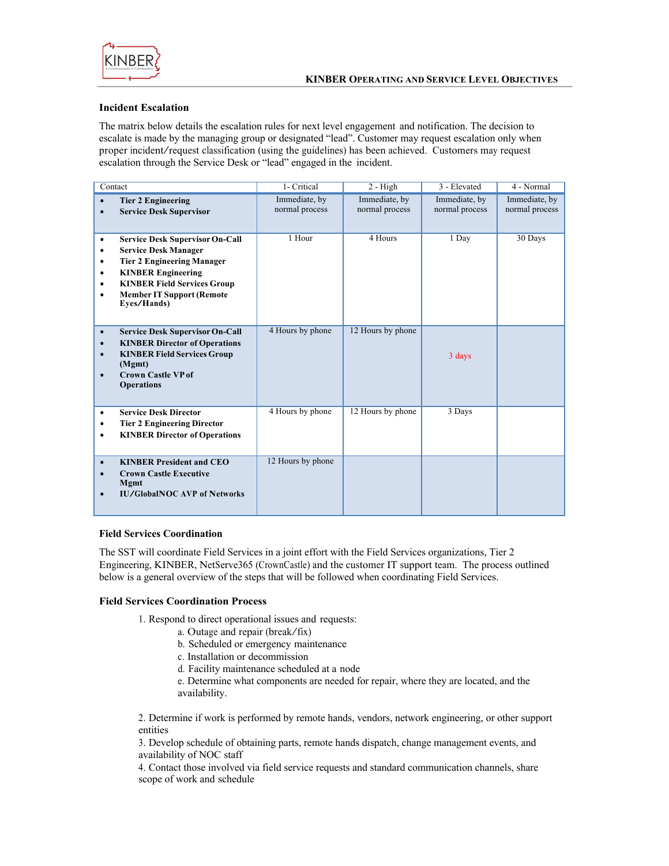

## **Incident Escalation**

The matrix below details the escalation rules for next level engagement and notification. The decision to escalate is made by the managing group or designated "lead". Customer may request escalation only when proper incident/request classification (using the guidelines) has been achieved. Customers may request escalation through the Service Desk or "lead" engaged in the incident.

|                                                  | Contact                                                                                                                                                                                                                          | 1- Critical                     | $2 - High$                      | 3 - Elevated                    | $4 - Normal$                    |
|--------------------------------------------------|----------------------------------------------------------------------------------------------------------------------------------------------------------------------------------------------------------------------------------|---------------------------------|---------------------------------|---------------------------------|---------------------------------|
| ٠                                                | <b>Tier 2 Engineering</b><br><b>Service Desk Supervisor</b>                                                                                                                                                                      | Immediate, by<br>normal process | Immediate, by<br>normal process | Immediate, by<br>normal process | Immediate, by<br>normal process |
| ٠<br>٠<br>٠                                      | <b>Service Desk Supervisor On-Call</b><br><b>Service Desk Manager</b><br><b>Tier 2 Engineering Manager</b><br><b>KINBER Engineering</b><br><b>KINBER Field Services Group</b><br><b>Member IT Support (Remote</b><br>Eyes/Hands) | 1 Hour                          | 4 Hours                         | 1 Day                           | 30 Days                         |
| $\bullet$<br>$\bullet$<br>$\bullet$<br>$\bullet$ | <b>Service Desk Supervisor On-Call</b><br><b>KINBER Director of Operations</b><br><b>KINBER Field Services Group</b><br>(Mgmt)<br><b>Crown Castle VP of</b><br><b>Operations</b>                                                 | 4 Hours by phone                | 12 Hours by phone               | 3 days                          |                                 |
| ٠<br>٠<br>٠                                      | <b>Service Desk Director</b><br><b>Tier 2 Engineering Director</b><br><b>KINBER Director of Operations</b>                                                                                                                       | 4 Hours by phone                | 12 Hours by phone               | 3 Days                          |                                 |
| $\bullet$<br>٠<br>$\bullet$                      | <b>KINBER President and CEO</b><br><b>Crown Castle Executive</b><br><b>Mgmt</b><br><b>IU/GlobalNOC AVP of Networks</b>                                                                                                           | 12 Hours by phone               |                                 |                                 |                                 |

#### **Field Services Coordination**

The SST will coordinate Field Services in a joint effort with the Field Services organizations, Tier 2 Engineering, KINBER, NetServe365 (CrownCastle) and the customer IT support team. The process outlined below is a general overview of the steps that will be followed when coordinating Field Services.

## **Field Services Coordination Process**

1. Respond to direct operational issues and requests:

- a. Outage and repair (break/fix)
- b. Scheduled or emergency maintenance
- c. Installation or decommission
- d. Facility maintenance scheduled at a node

e. Determine what components are needed for repair, where they are located, and the availability.

2. Determine if work is performed by remote hands, vendors, network engineering, or other support entities

3. Develop schedule of obtaining parts, remote hands dispatch, change management events, and availability of NOC staff

4. Contact those involved via field service requests and standard communication channels, share scope of work and schedule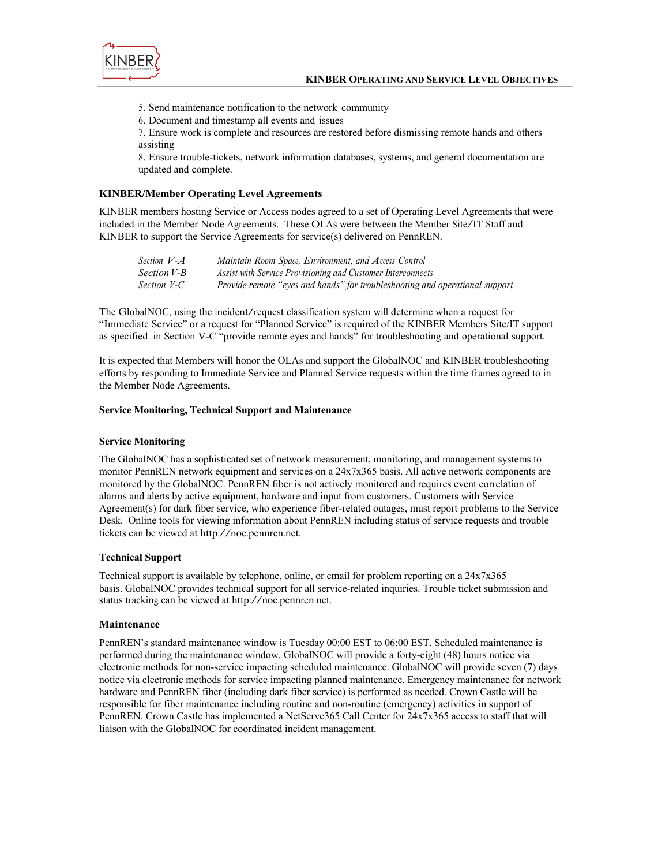

5. Send maintenance notification to the network community

6. Document and timestamp all events and issues

7. Ensure work is complete and resources are restored before dismissing remote hands and others assisting

8. Ensure trouble-tickets, network information databases, systems, and general documentation are updated and complete.

#### **KINBER/Member Operating Level Agreements**

KINBER members hosting Service or Access nodes agreed to a set of Operating Level Agreements that were included in the Member Node Agreements. These OLAs were between the Member Site/IT Staff and KINBER to support the Service Agreements for service(s) delivered on PennREN.

| Section $V \, A$ | Maintain Room Space, Environment, and Access Control                        |
|------------------|-----------------------------------------------------------------------------|
| Section V-B      | Assist with Service Provisioning and Customer Interconnects                 |
| Section V-C      | Provide remote "eyes and hands" for troubleshooting and operational support |

The GlobalNOC, using the incident/request classification system will determine when <sup>a</sup> request for "Immediate Service" or a request for "Planned Service" is required of the KINBER Members Site/IT support as specified in Section V-C "provide remote eyes and hands" for troubleshooting and operational support.

It is expected that Members will honor the OLAs and support the GlobalNOC and KINBER troubleshooting efforts by responding to Immediate Service and Planned Service requests within the time frames agreed to in the Member Node Agreements.

#### **Service Monitoring, Technical Support and Maintenance**

#### **Service Monitoring**

The GlobalNOC has a sophisticated set of network measurement, monitoring, and management systems to monitor PennREN network equipment and services on a 24x7x365 basis. All active network components are monitored by the GlobalNOC. PennREN fiber is not actively monitored and requires event correlation of alarms and alerts by active equipment, hardware and input from customers. Customers with Service Agreement(s) for dark fiber service, who experience fiber-related outages, must report problems to the Service Desk. Online tools for viewing information about PennREN including status of service requests and trouble tickets can be viewed at http://noc.pennren.net.

#### **Technical Support**

Technical support is available by telephone, online, or email for problem reporting on a 24x7x365 basis. GlobalNOC provides technical support for all service-related inquiries. Trouble ticket submission and status tracking can be viewed at http://noc.pennren.net.

#### **Maintenance**

PennREN's standard maintenance window is Tuesday 00:00 EST to 06:00 EST. Scheduled maintenance is performed during the maintenance window. GlobalNOC will provide a forty-eight (48) hours notice via electronic methods for non-service impacting scheduled maintenance. GlobalNOC will provide seven (7) days notice via electronic methods for service impacting planned maintenance. Emergency maintenance for network hardware and PennREN fiber (including dark fiber service) is performed as needed. Crown Castle will be responsible for fiber maintenance including routine and non-routine (emergency) activities in support of PennREN. Crown Castle has implemented a NetServe365 Call Center for 24x7x365 access to staff that will liaison with the GlobalNOC for coordinated incident management.